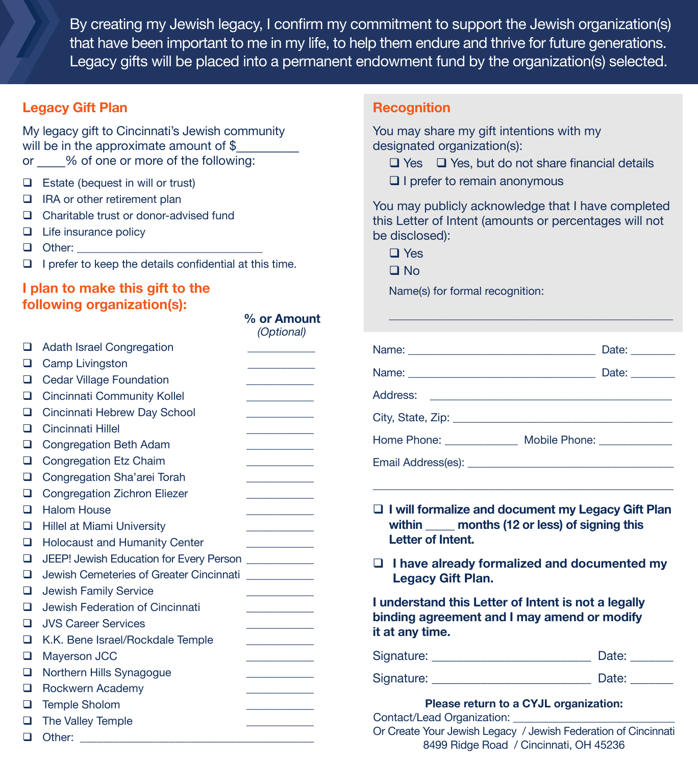By creating my Jewish legacy, I confirm my commitment to support the Jewish organization(s) that have been important to me in my life, to help them endure and thrive for future generations. Legacy gifts will be placed into a permanent endowment fund by the organization(s) selected.

## **Legacy Gift Plan**

My legacy gift to Cincinnati's Jewish community will be in the approximate amount of \$ or  $\%$  of one or more of the following:

- $\Box$  Estate (bequest in will or trust)
- □ IRA or other retirement plan
- Charitable trust or donor-advised fund
- $\Box$  Life insurance policy
- $\Box$  Other:
- $\Box$  I prefer to keep the details confidential at this time.

## **I plan to make this gift to the following organization(s):**

|   |                                         | (Optional) |
|---|-----------------------------------------|------------|
| ◻ | <b>Adath Israel Congregation</b>        |            |
| ◻ | Camp Livingston                         |            |
| ◻ | <b>Cedar Village Foundation</b>         |            |
| □ | <b>Cincinnati Community Kollel</b>      |            |
| ப | Cincinnati Hebrew Day School            |            |
| п | Cincinnati Hillel                       |            |
| ப | Congregation Beth Adam                  |            |
| □ | <b>Congregation Etz Chaim</b>           |            |
| □ | Congregation Sha'arei Torah             |            |
| ◻ | <b>Congregation Zichron Eliezer</b>     |            |
| □ | <b>Halom House</b>                      |            |
| ◻ | Hillel at Miami University              |            |
| ◻ | <b>Holocaust and Humanity Center</b>    |            |
| □ | JEEP! Jewish Education for Every Person |            |
| □ | Jewish Cemeteries of Greater Cincinnati |            |
| 0 | <b>Jewish Family Service</b>            |            |
| ◻ | Jewish Federation of Cincinnati         |            |
| п | <b>JVS Career Services</b>              |            |
| □ | K.K. Bene Israel/Rockdale Temple        |            |
| □ | <b>Mayerson JCC</b>                     |            |
| □ | Northern Hills Synagogue                |            |
| ◻ | Rockwern Academy                        |            |
| ◻ | <b>Temple Sholom</b>                    |            |
| ◻ | The Valley Temple                       |            |
| □ | Other:                                  |            |

## **Recognition**

You may share my gift intentions with my designated organization(s):

- $\Box$  Yes  $\Box$  Yes, but do not share financial details
- $\Box$  I prefer to remain anonymous

You may publicly acknowledge that I have completed this Letter of Intent (amounts or percentages will not be disclosed):

- □ Yes
- No

 **% or Amount**

Name(s) for formal recognition:

| Name: <u>___________________________</u> _________      | Date:                            |
|---------------------------------------------------------|----------------------------------|
|                                                         | Date: $\_\_\_\_\_\_\_\_\_\_\_\_$ |
|                                                         |                                  |
|                                                         |                                  |
| Home Phone: _______________ Mobile Phone: _____________ |                                  |
|                                                         |                                  |

 $\_$ 

 **I will formalize and document my Legacy Gift Plan** within **months (12 or less) of signing this Letter of Intent.**

\_\_\_\_\_\_\_\_\_\_\_\_\_\_\_\_\_\_\_\_\_\_\_\_\_\_\_\_\_\_\_\_\_\_\_\_\_\_\_\_\_\_\_\_\_\_\_\_\_\_\_\_\_\_

 **I have already formalized and documented my Legacy Gift Plan.**

**I understand this Letter of Intent is not a legally binding agreement and I may amend or modify it at any time.** 

| Signature: | Date: |
|------------|-------|
| Signature: | Date: |

### **Please return to a CYJL organization:**

Contact/Lead Organization:

Or Create Your Jewish Legacy / Jewish Federation of Cincinnati 8499 Ridge Road / Cincinnati, OH 45236